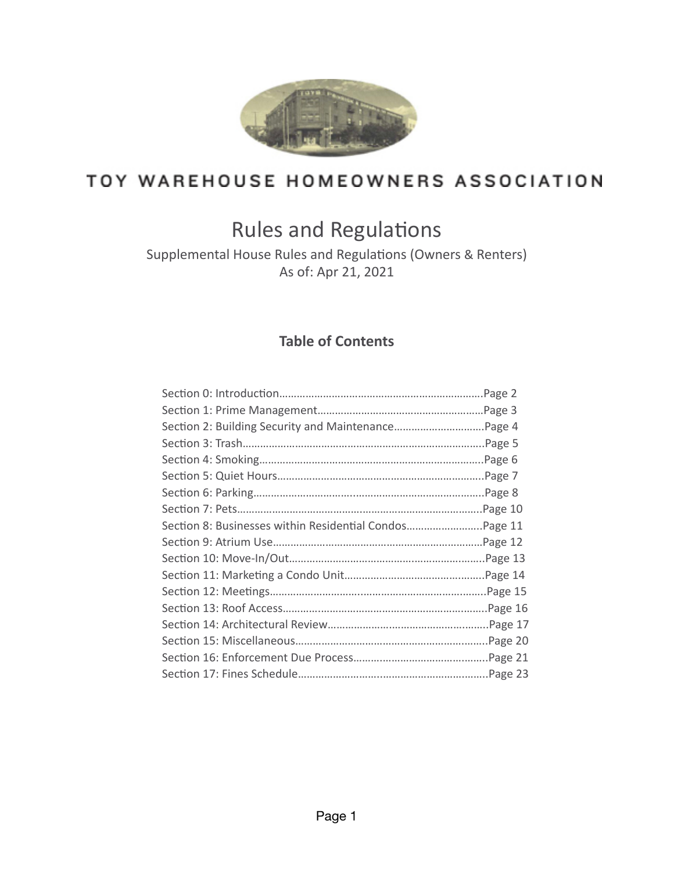

# TOY WAREHOUSE HOMEOWNERS ASSOCIATION

# Rules and Regulations

Supplemental House Rules and Regulations (Owners & Renters) As of: Apr 21, 2021

## **Table of Contents**

| Section 8: Businesses within Residential CondosPage 11 |  |
|--------------------------------------------------------|--|
|                                                        |  |
|                                                        |  |
|                                                        |  |
|                                                        |  |
|                                                        |  |
|                                                        |  |
|                                                        |  |
|                                                        |  |
|                                                        |  |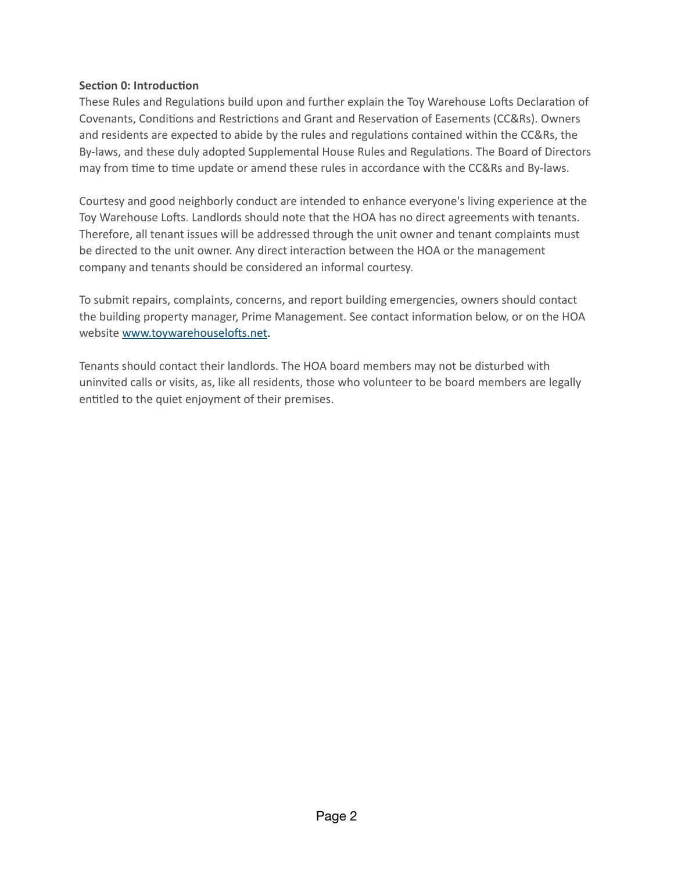### **Section 0: Introduction**

These Rules and Regulations build upon and further explain the Toy Warehouse Lofts Declaration of Covenants, Conditions and Restrictions and Grant and Reservation of Easements (CC&Rs). Owners and residents are expected to abide by the rules and regulations contained within the CC&Rs, the By-laws, and these duly adopted Supplemental House Rules and Regulations. The Board of Directors may from time to time update or amend these rules in accordance with the CC&Rs and By-laws.

Courtesy and good neighborly conduct are intended to enhance everyone's living experience at the Toy Warehouse Lofts. Landlords should note that the HOA has no direct agreements with tenants. Therefore, all tenant issues will be addressed through the unit owner and tenant complaints must be directed to the unit owner. Any direct interaction between the HOA or the management company and tenants should be considered an informal courtesy.

To submit repairs, complaints, concerns, and report building emergencies, owners should contact the building property manager, Prime Management. See contact information below, or on the HOA website www.toywarehouselofts.net.

Tenants should contact their landlords. The HOA board members may not be disturbed with uninvited calls or visits, as, like all residents, those who volunteer to be board members are legally entitled to the quiet enjoyment of their premises.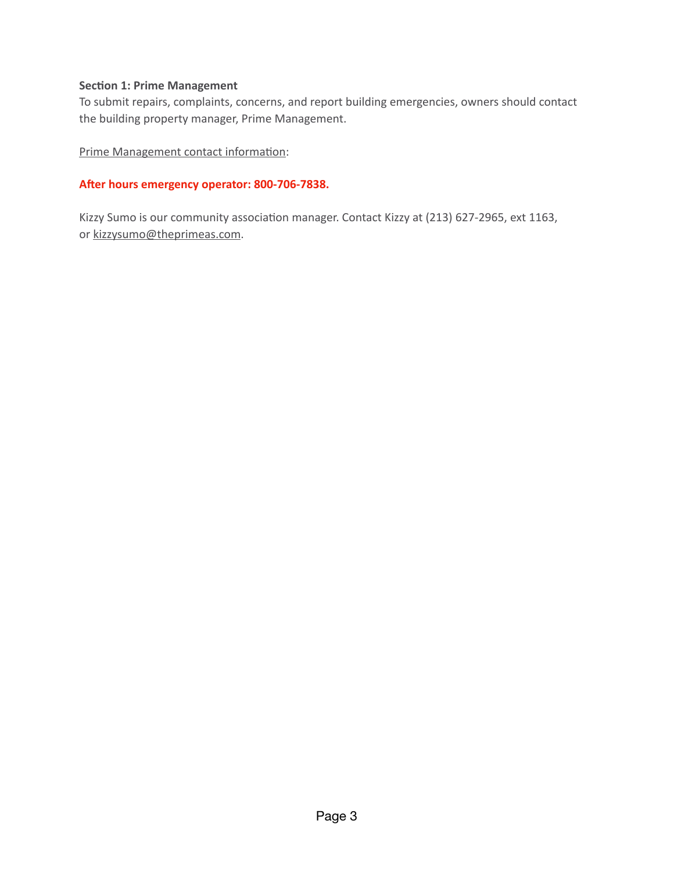#### **Section 1: Prime Management**

To submit repairs, complaints, concerns, and report building emergencies, owners should contact the building property manager, Prime Management.

Prime Management contact information:

#### After hours emergency operator: 800-706-7838.

Kizzy Sumo is our community association manager. Contact Kizzy at (213) 627-2965, ext 1163, or kizzysumo@theprimeas.com.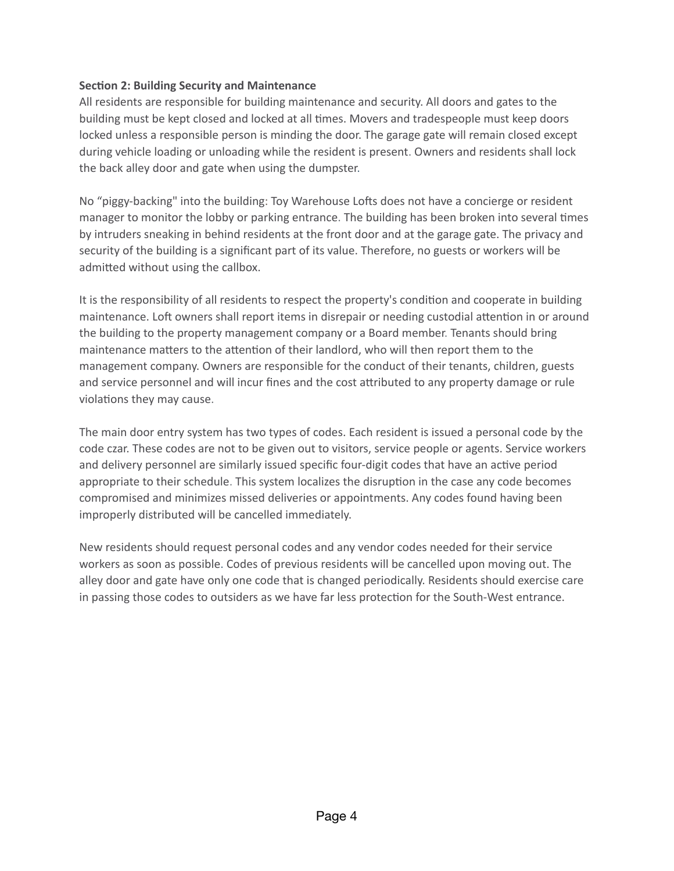## **Section 2: Building Security and Maintenance**

All residents are responsible for building maintenance and security. All doors and gates to the building must be kept closed and locked at all times. Movers and tradespeople must keep doors locked unless a responsible person is minding the door. The garage gate will remain closed except during vehicle loading or unloading while the resident is present. Owners and residents shall lock the back alley door and gate when using the dumpster.

No "piggy-backing" into the building: Toy Warehouse Lofts does not have a concierge or resident manager to monitor the lobby or parking entrance. The building has been broken into several times by intruders sneaking in behind residents at the front door and at the garage gate. The privacy and security of the building is a significant part of its value. Therefore, no guests or workers will be admitted without using the callbox.

It is the responsibility of all residents to respect the property's condition and cooperate in building maintenance. Loft owners shall report items in disrepair or needing custodial attention in or around the building to the property management company or a Board member. Tenants should bring maintenance matters to the attention of their landlord, who will then report them to the management company. Owners are responsible for the conduct of their tenants, children, guests and service personnel and will incur fines and the cost akributed to any property damage or rule violations they may cause.

The main door entry system has two types of codes. Each resident is issued a personal code by the code czar. These codes are not to be given out to visitors, service people or agents. Service workers and delivery personnel are similarly issued specific four-digit codes that have an active period appropriate to their schedule. This system localizes the disruption in the case any code becomes compromised and minimizes missed deliveries or appointments. Any codes found having been improperly distributed will be cancelled immediately.

New residents should request personal codes and any vendor codes needed for their service workers as soon as possible. Codes of previous residents will be cancelled upon moving out. The alley door and gate have only one code that is changed periodically. Residents should exercise care in passing those codes to outsiders as we have far less protection for the South-West entrance.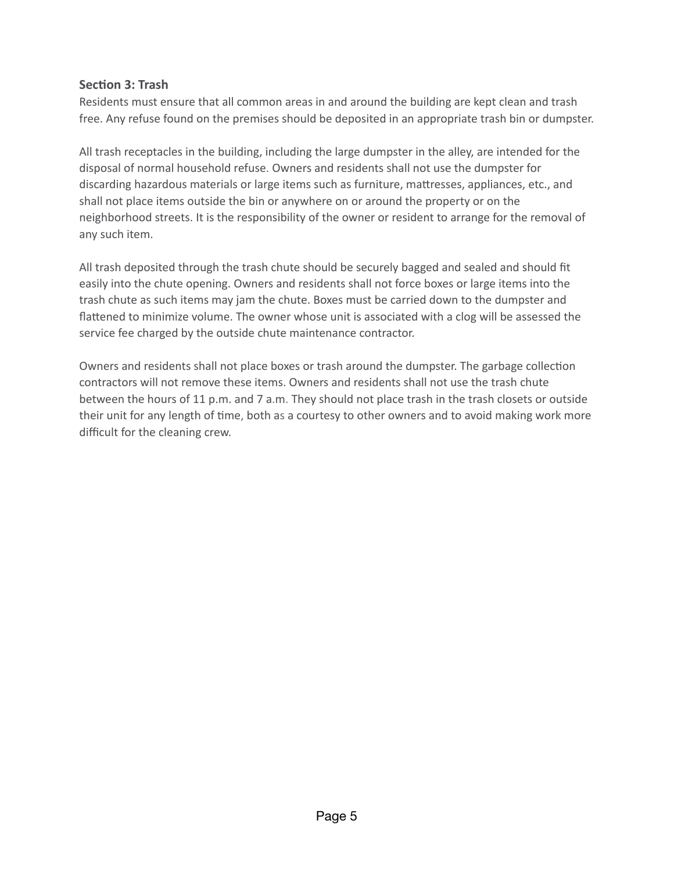## **Section 3: Trash**

Residents must ensure that all common areas in and around the building are kept clean and trash free. Any refuse found on the premises should be deposited in an appropriate trash bin or dumpster.

All trash receptacles in the building, including the large dumpster in the alley, are intended for the disposal of normal household refuse. Owners and residents shall not use the dumpster for discarding hazardous materials or large items such as furniture, makresses, appliances, etc., and shall not place items outside the bin or anywhere on or around the property or on the neighborhood streets. It is the responsibility of the owner or resident to arrange for the removal of any such item.

All trash deposited through the trash chute should be securely bagged and sealed and should fit easily into the chute opening. Owners and residents shall not force boxes or large items into the trash chute as such items may jam the chute. Boxes must be carried down to the dumpster and flattened to minimize volume. The owner whose unit is associated with a clog will be assessed the service fee charged by the outside chute maintenance contractor.

Owners and residents shall not place boxes or trash around the dumpster. The garbage collection contractors will not remove these items. Owners and residents shall not use the trash chute between the hours of 11 p.m. and 7 a.m. They should not place trash in the trash closets or outside their unit for any length of time, both as a courtesy to other owners and to avoid making work more difficult for the cleaning crew.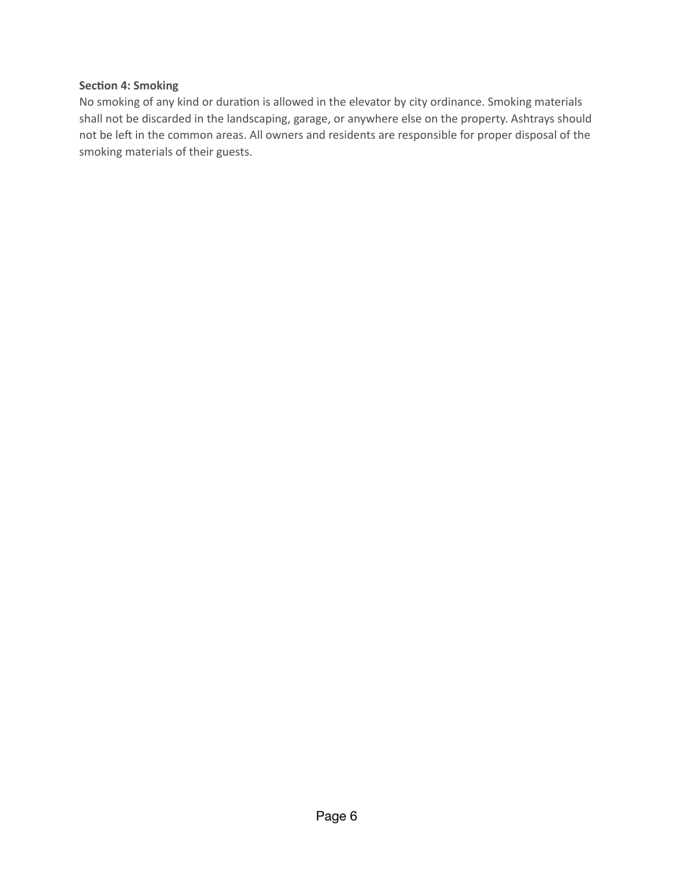### **Section 4: Smoking**

No smoking of any kind or duration is allowed in the elevator by city ordinance. Smoking materials shall not be discarded in the landscaping, garage, or anywhere else on the property. Ashtrays should not be left in the common areas. All owners and residents are responsible for proper disposal of the smoking materials of their guests.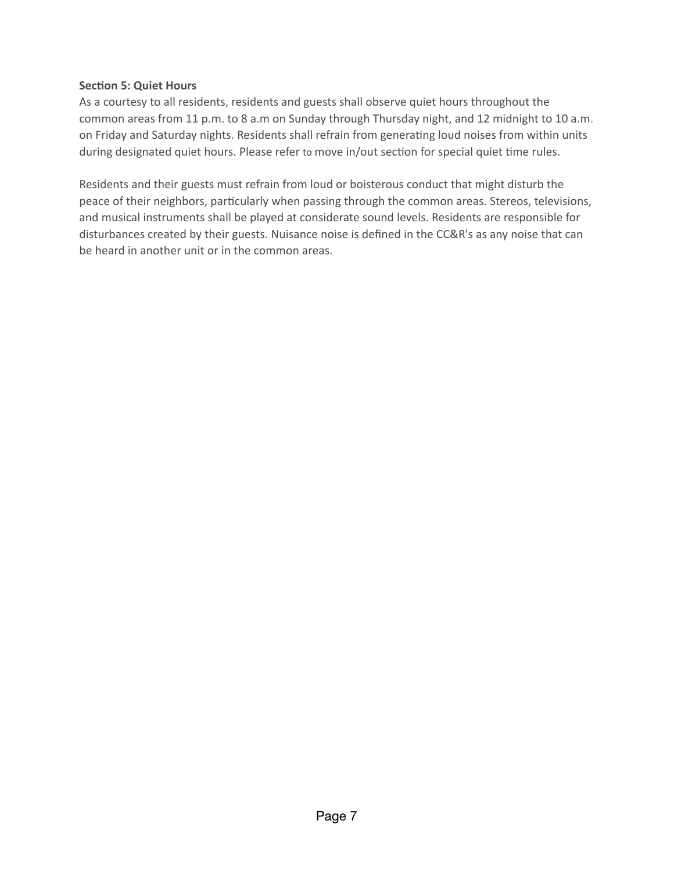### **Section 5: Quiet Hours**

As a courtesy to all residents, residents and guests shall observe quiet hours throughout the common areas from 11 p.m. to 8 a.m on Sunday through Thursday night, and 12 midnight to 10 a.m. on Friday and Saturday nights. Residents shall refrain from generating loud noises from within units during designated quiet hours. Please refer to move in/out section for special quiet time rules.

Residents and their guests must refrain from loud or boisterous conduct that might disturb the peace of their neighbors, particularly when passing through the common areas. Stereos, televisions, and musical instruments shall be played at considerate sound levels. Residents are responsible for disturbances created by their guests. Nuisance noise is defined in the CC&R's as any noise that can be heard in another unit or in the common areas.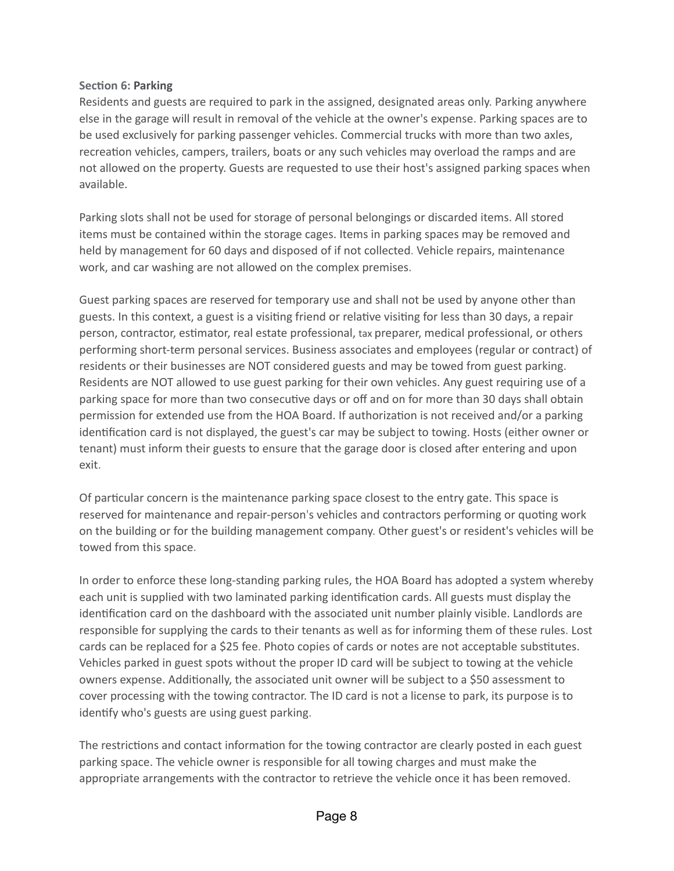### **Section 6: Parking**

Residents and guests are required to park in the assigned, designated areas only. Parking anywhere else in the garage will result in removal of the vehicle at the owner's expense. Parking spaces are to be used exclusively for parking passenger vehicles. Commercial trucks with more than two axles, recreation vehicles, campers, trailers, boats or any such vehicles may overload the ramps and are not allowed on the property. Guests are requested to use their host's assigned parking spaces when available.

Parking slots shall not be used for storage of personal belongings or discarded items. All stored items must be contained within the storage cages. Items in parking spaces may be removed and held by management for 60 days and disposed of if not collected. Vehicle repairs, maintenance work, and car washing are not allowed on the complex premises.

Guest parking spaces are reserved for temporary use and shall not be used by anyone other than guests. In this context, a guest is a visiting friend or relative visiting for less than 30 days, a repair person, contractor, estimator, real estate professional, tax preparer, medical professional, or others performing short-term personal services. Business associates and employees (regular or contract) of residents or their businesses are NOT considered guests and may be towed from guest parking. Residents are NOT allowed to use guest parking for their own vehicles. Any guest requiring use of a parking space for more than two consecutive days or off and on for more than 30 days shall obtain permission for extended use from the HOA Board. If authorization is not received and/or a parking identification card is not displayed, the guest's car may be subject to towing. Hosts (either owner or tenant) must inform their guests to ensure that the garage door is closed after entering and upon exit.

Of particular concern is the maintenance parking space closest to the entry gate. This space is reserved for maintenance and repair-person's vehicles and contractors performing or quoting work on the building or for the building management company. Other guest's or resident's vehicles will be towed from this space.

In order to enforce these long-standing parking rules, the HOA Board has adopted a system whereby each unit is supplied with two laminated parking identification cards. All guests must display the identification card on the dashboard with the associated unit number plainly visible. Landlords are responsible for supplying the cards to their tenants as well as for informing them of these rules. Lost cards can be replaced for a \$25 fee. Photo copies of cards or notes are not acceptable substitutes. Vehicles parked in guest spots without the proper ID card will be subject to towing at the vehicle owners expense. Additionally, the associated unit owner will be subject to a \$50 assessment to cover processing with the towing contractor. The ID card is not a license to park, its purpose is to identify who's guests are using guest parking.

The restrictions and contact information for the towing contractor are clearly posted in each guest parking space. The vehicle owner is responsible for all towing charges and must make the appropriate arrangements with the contractor to retrieve the vehicle once it has been removed.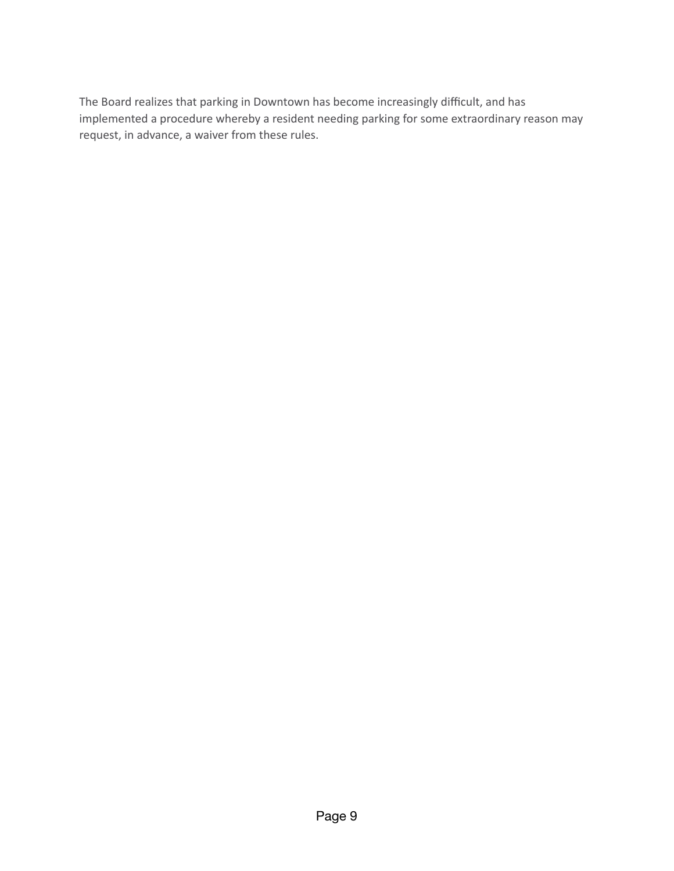The Board realizes that parking in Downtown has become increasingly difficult, and has implemented a procedure whereby a resident needing parking for some extraordinary reason may request, in advance, a waiver from these rules.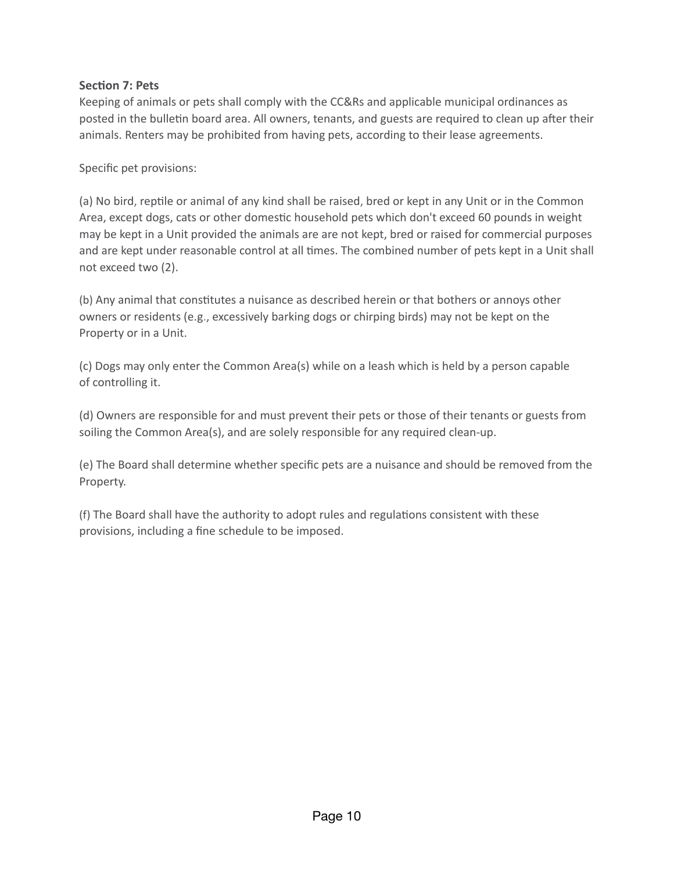## **Section 7: Pets**

Keeping of animals or pets shall comply with the CC&Rs and applicable municipal ordinances as posted in the bulletin board area. All owners, tenants, and guests are required to clean up after their animals. Renters may be prohibited from having pets, according to their lease agreements.

Specific pet provisions:

(a) No bird, reptile or animal of any kind shall be raised, bred or kept in any Unit or in the Common Area, except dogs, cats or other domestic household pets which don't exceed 60 pounds in weight may be kept in a Unit provided the animals are are not kept, bred or raised for commercial purposes and are kept under reasonable control at all times. The combined number of pets kept in a Unit shall not exceed two (2).

(b) Any animal that constitutes a nuisance as described herein or that bothers or annoys other owners or residents (e.g., excessively barking dogs or chirping birds) may not be kept on the Property or in a Unit.

(c) Dogs may only enter the Common Area(s) while on a leash which is held by a person capable of controlling it.

(d) Owners are responsible for and must prevent their pets or those of their tenants or guests from soiling the Common Area(s), and are solely responsible for any required clean-up.

(e) The Board shall determine whether specific pets are a nuisance and should be removed from the Property.

(f) The Board shall have the authority to adopt rules and regulations consistent with these provisions, including a fine schedule to be imposed.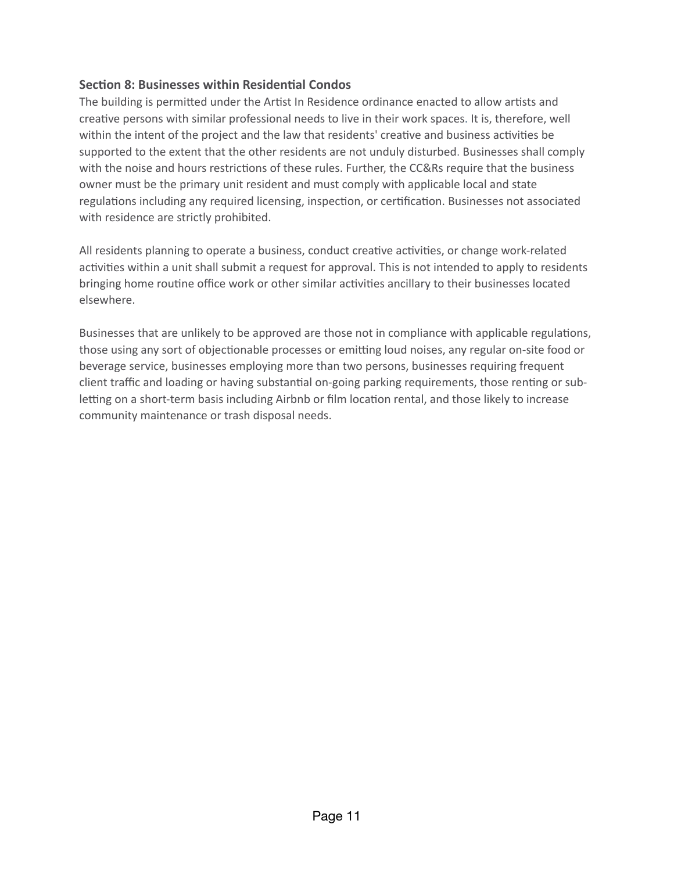## **Section 8: Businesses within Residential Condos**

The building is permitted under the Artist In Residence ordinance enacted to allow artists and creative persons with similar professional needs to live in their work spaces. It is, therefore, well within the intent of the project and the law that residents' creative and business activities be supported to the extent that the other residents are not unduly disturbed. Businesses shall comply with the noise and hours restrictions of these rules. Further, the CC&Rs require that the business owner must be the primary unit resident and must comply with applicable local and state regulations including any required licensing, inspection, or certification. Businesses not associated with residence are strictly prohibited.

All residents planning to operate a business, conduct creative activities, or change work-related activities within a unit shall submit a request for approval. This is not intended to apply to residents bringing home routine office work or other similar activities ancillary to their businesses located elsewhere.

Businesses that are unlikely to be approved are those not in compliance with applicable regulations, those using any sort of objectionable processes or emitting loud noises, any regular on-site food or beverage service, businesses employing more than two persons, businesses requiring frequent client traffic and loading or having substantial on-going parking requirements, those renting or subletting on a short-term basis including Airbnb or film location rental, and those likely to increase community maintenance or trash disposal needs.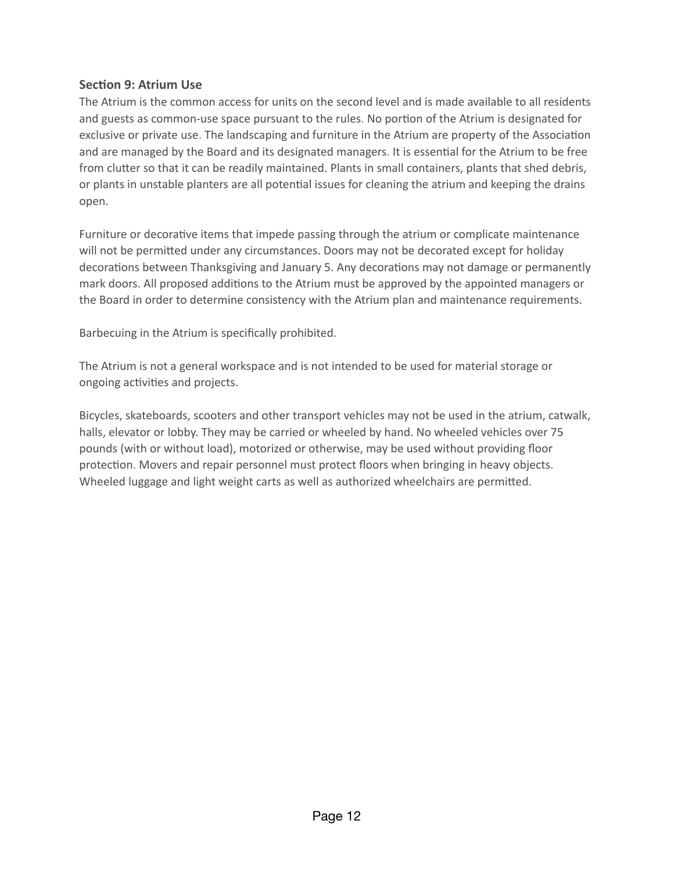## **Section 9: Atrium Use**

The Atrium is the common access for units on the second level and is made available to all residents and guests as common-use space pursuant to the rules. No portion of the Atrium is designated for exclusive or private use. The landscaping and furniture in the Atrium are property of the Association and are managed by the Board and its designated managers. It is essential for the Atrium to be free from clutter so that it can be readily maintained. Plants in small containers, plants that shed debris, or plants in unstable planters are all potential issues for cleaning the atrium and keeping the drains open.

Furniture or decorative items that impede passing through the atrium or complicate maintenance will not be permitted under any circumstances. Doors may not be decorated except for holiday decorations between Thanksgiving and January 5. Any decorations may not damage or permanently mark doors. All proposed additions to the Atrium must be approved by the appointed managers or the Board in order to determine consistency with the Atrium plan and maintenance requirements.

Barbecuing in the Atrium is specifically prohibited.

The Atrium is not a general workspace and is not intended to be used for material storage or ongoing activities and projects.

Bicycles, skateboards, scooters and other transport vehicles may not be used in the atrium, catwalk, halls, elevator or lobby. They may be carried or wheeled by hand. No wheeled vehicles over 75 pounds (with or without load), motorized or otherwise, may be used without providing floor protection. Movers and repair personnel must protect floors when bringing in heavy objects. Wheeled luggage and light weight carts as well as authorized wheelchairs are permiked.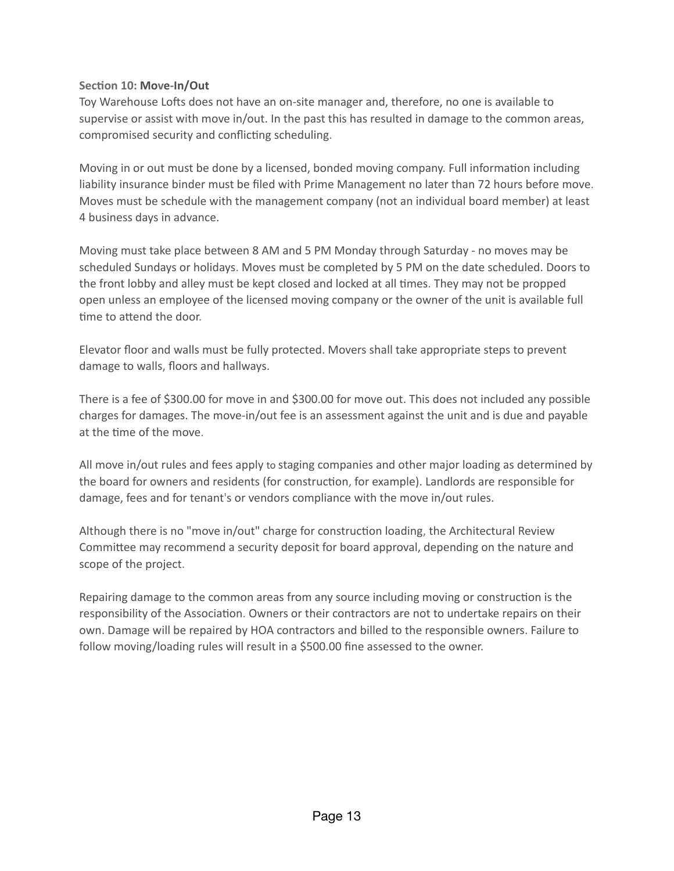## Section 10: Move-In/Out

Toy Warehouse Lofts does not have an on-site manager and, therefore, no one is available to supervise or assist with move in/out. In the past this has resulted in damage to the common areas, compromised security and conflicting scheduling.

Moving in or out must be done by a licensed, bonded moving company. Full information including liability insurance binder must be filed with Prime Management no later than 72 hours before move. Moves must be schedule with the management company (not an individual board member) at least 4 business days in advance.

Moving must take place between 8 AM and 5 PM Monday through Saturday - no moves may be scheduled Sundays or holidays. Moves must be completed by 5 PM on the date scheduled. Doors to the front lobby and alley must be kept closed and locked at all times. They may not be propped open unless an employee of the licensed moving company or the owner of the unit is available full time to attend the door.

Elevator floor and walls must be fully protected. Movers shall take appropriate steps to prevent damage to walls, floors and hallways.

There is a fee of \$300.00 for move in and \$300.00 for move out. This does not included any possible charges for damages. The move-in/out fee is an assessment against the unit and is due and payable at the time of the move.

All move in/out rules and fees apply to staging companies and other major loading as determined by the board for owners and residents (for construction, for example). Landlords are responsible for damage, fees and for tenant's or vendors compliance with the move in/out rules.

Although there is no "move in/out" charge for construction loading, the Architectural Review Commikee may recommend a security deposit for board approval, depending on the nature and scope of the project.

Repairing damage to the common areas from any source including moving or construction is the responsibility of the Association. Owners or their contractors are not to undertake repairs on their own. Damage will be repaired by HOA contractors and billed to the responsible owners. Failure to follow moving/loading rules will result in a \$500.00 fine assessed to the owner.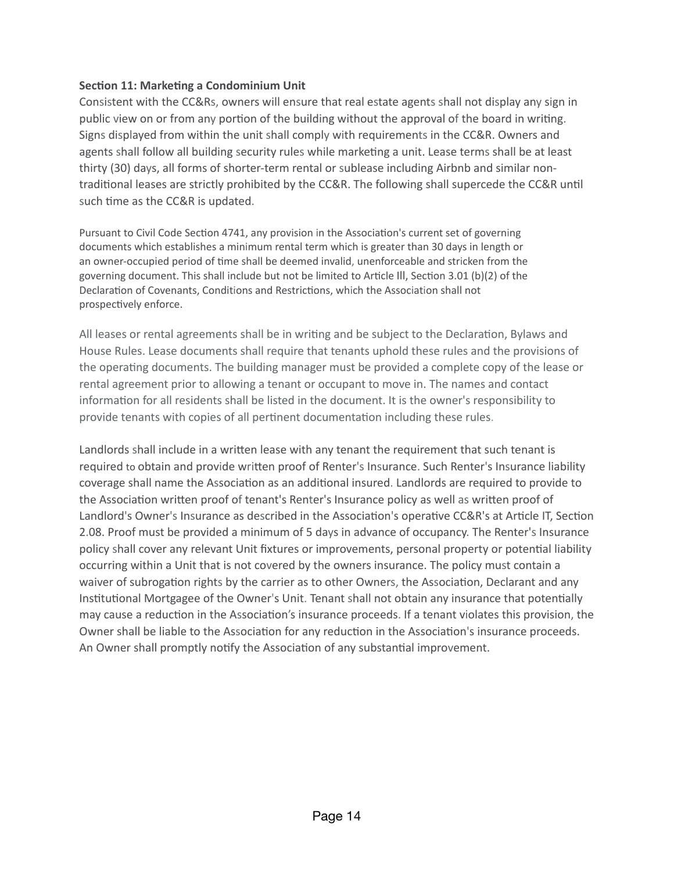## **Section 11: Marketing a Condominium Unit**

Consistent with the CC&Rs, owners will ensure that real estate agents shall not display any sign in public view on or from any portion of the building without the approval of the board in writing. Signs displayed from within the unit shall comply with requirements in the CC&R. Owners and agents shall follow all building security rules while marketing a unit. Lease terms shall be at least thirty (30) days, all forms of shorter-term rental or sublease including Airbnb and similar nontraditional leases are strictly prohibited by the CC&R. The following shall supercede the CC&R until such time as the CC&R is updated.

Pursuant to Civil Code Section 4741, any provision in the Association's current set of governing documents which establishes a minimum rental term which is greater than 30 days in length or an owner-occupied period of time shall be deemed invalid, unenforceable and stricken from the governing document. This shall include but not be limited to Article III, Section 3.01 (b)(2) of the Declaration of Covenants, Conditions and Restrictions, which the Association shall not prospectively enforce.

All leases or rental agreements shall be in writing and be subject to the Declaration, Bylaws and House Rules. Lease documents shall require that tenants uphold these rules and the provisions of the operating documents. The building manager must be provided a complete copy of the lease or rental agreement prior to allowing a tenant or occupant to move in. The names and contact information for all residents shall be listed in the document. It is the owner's responsibility to provide tenants with copies of all pertinent documentation including these rules.

Landlords shall include in a written lease with any tenant the requirement that such tenant is required to obtain and provide written proof of Renter's Insurance. Such Renter's Insurance liability coverage shall name the Association as an additional insured. Landlords are required to provide to the Association written proof of tenant's Renter's Insurance policy as well as written proof of Landlord's Owner's Insurance as described in the Association's operative CC&R's at Article IT, Section 2.08. Proof must be provided a minimum of 5 days in advance of occupancy. The Renter's Insurance policy shall cover any relevant Unit fixtures or improvements, personal property or potential liability occurring within a Unit that is not covered by the owners insurance. The policy must contain a waiver of subrogation rights by the carrier as to other Owners, the Association, Declarant and any Institutional Mortgagee of the Owner's Unit. Tenant shall not obtain any insurance that potentially may cause a reduction in the Association's insurance proceeds. If a tenant violates this provision, the Owner shall be liable to the Association for any reduction in the Association's insurance proceeds. An Owner shall promptly notify the Association of any substantial improvement.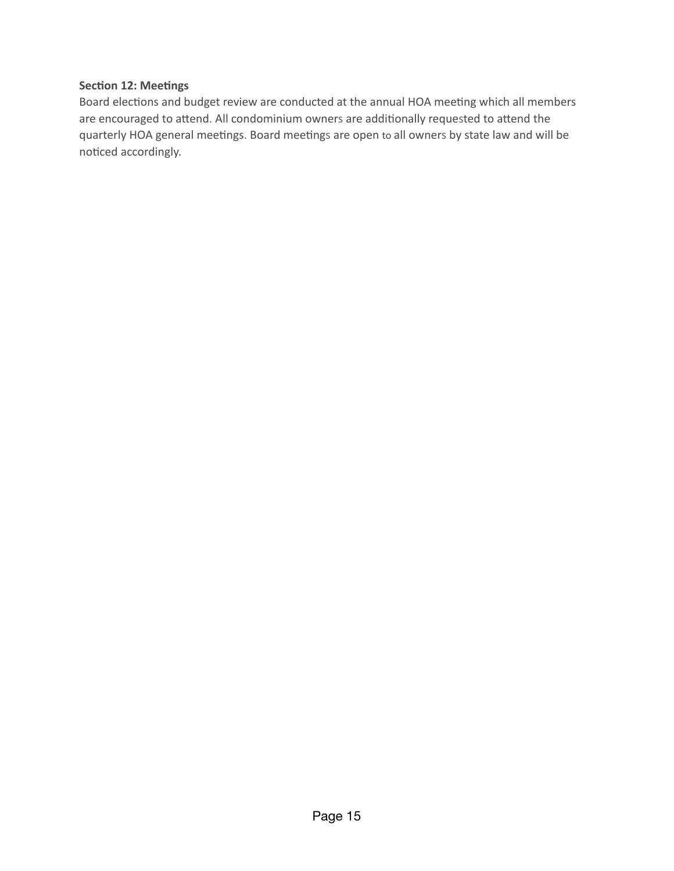## **Section 12: Meetings**

Board elections and budget review are conducted at the annual HOA meeting which all members are encouraged to attend. All condominium owners are additionally requested to attend the quarterly HOA general meetings. Board meetings are open to all owners by state law and will be noticed accordingly.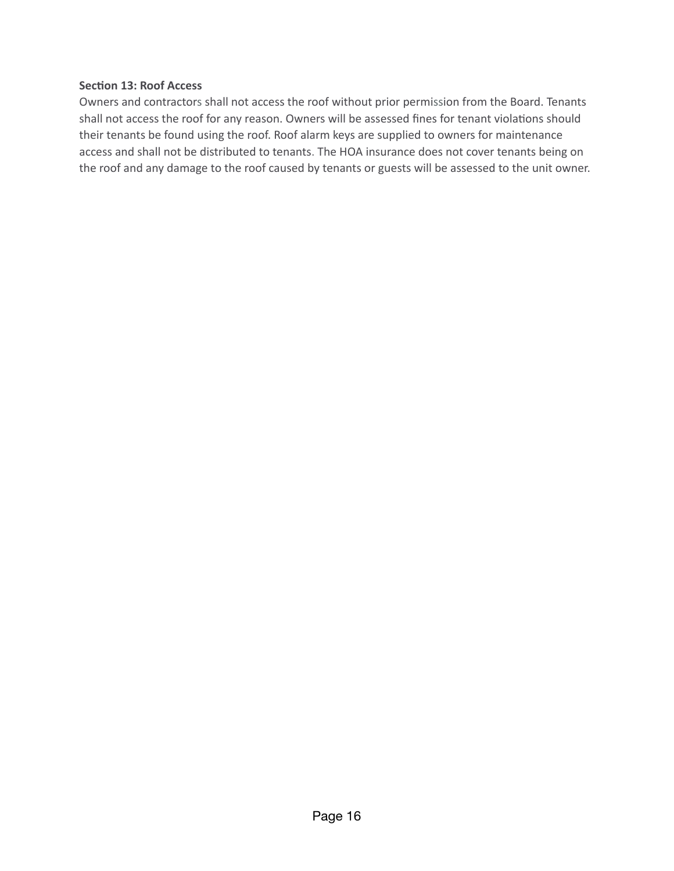### **Section 13: Roof Access**

Owners and contractors shall not access the roof without prior permission from the Board. Tenants shall not access the roof for any reason. Owners will be assessed fines for tenant violations should their tenants be found using the roof. Roof alarm keys are supplied to owners for maintenance access and shall not be distributed to tenants. The HOA insurance does not cover tenants being on the roof and any damage to the roof caused by tenants or guests will be assessed to the unit owner.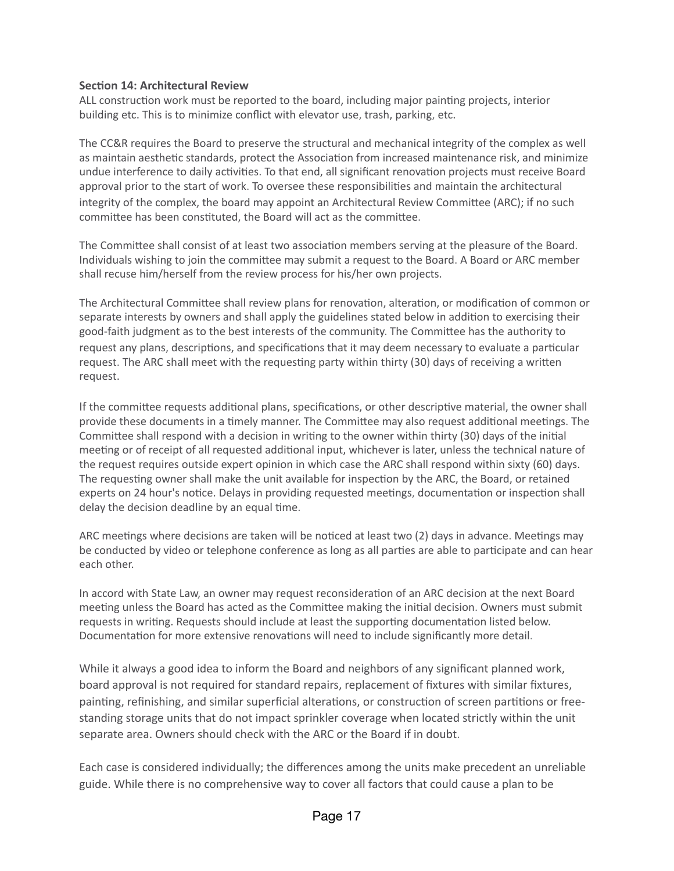#### **Section 14: Architectural Review**

ALL construction work must be reported to the board, including major painting projects, interior building etc. This is to minimize conflict with elevator use, trash, parking, etc.

The CC&R requires the Board to preserve the structural and mechanical integrity of the complex as well as maintain aesthetic standards, protect the Association from increased maintenance risk, and minimize undue interference to daily activities. To that end, all significant renovation projects must receive Board approval prior to the start of work. To oversee these responsibilities and maintain the architectural integrity of the complex, the board may appoint an Architectural Review Commikee (ARC); if no such committee has been constituted, the Board will act as the committee.

The Committee shall consist of at least two association members serving at the pleasure of the Board. Individuals wishing to join the commikee may submit a request to the Board. A Board or ARC member shall recuse him/herself from the review process for his/her own projects.

The Architectural Committee shall review plans for renovation, alteration, or modification of common or separate interests by owners and shall apply the guidelines stated below in addition to exercising their good-faith judgment as to the best interests of the community. The Commikee has the authority to request any plans, descriptions, and specifications that it may deem necessary to evaluate a particular request. The ARC shall meet with the requesting party within thirty (30) days of receiving a written request.

If the committee requests additional plans, specifications, or other descriptive material, the owner shall provide these documents in a timely manner. The Committee may also request additional meetings. The Committee shall respond with a decision in writing to the owner within thirty (30) days of the initial meeting or of receipt of all requested additional input, whichever is later, unless the technical nature of the request requires outside expert opinion in which case the ARC shall respond within sixty (60) days. The requesting owner shall make the unit available for inspection by the ARC, the Board, or retained experts on 24 hour's notice. Delays in providing requested meetings, documentation or inspection shall delay the decision deadline by an equal time.

ARC meetings where decisions are taken will be noticed at least two (2) days in advance. Meetings may be conducted by video or telephone conference as long as all parties are able to participate and can hear each other.

In accord with State Law, an owner may request reconsideration of an ARC decision at the next Board meeting unless the Board has acted as the Committee making the initial decision. Owners must submit requests in writing. Requests should include at least the supporting documentation listed below. Documentation for more extensive renovations will need to include significantly more detail.

While it always a good idea to inform the Board and neighbors of any significant planned work, board approval is not required for standard repairs, replacement of fixtures with similar fixtures, painting, refinishing, and similar superficial alterations, or construction of screen partitions or freestanding storage units that do not impact sprinkler coverage when located strictly within the unit separate area. Owners should check with the ARC or the Board if in doubt.

Each case is considered individually; the differences among the units make precedent an unreliable guide. While there is no comprehensive way to cover all factors that could cause a plan to be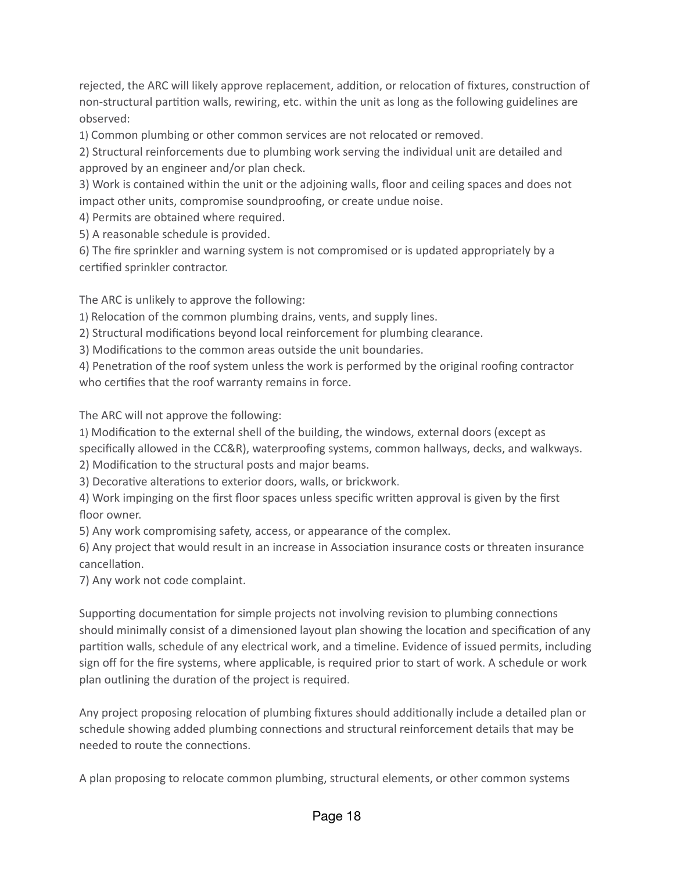rejected, the ARC will likely approve replacement, addition, or relocation of fixtures, construction of non-structural partition walls, rewiring, etc. within the unit as long as the following guidelines are observed:

1) Common plumbing or other common services are not relocated or removed.

2) Structural reinforcements due to plumbing work serving the individual unit are detailed and approved by an engineer and/or plan check.

3) Work is contained within the unit or the adjoining walls, floor and ceiling spaces and does not impact other units, compromise soundproofing, or create undue noise.

4) Permits are obtained where required.

5) A reasonable schedule is provided.

6) The fire sprinkler and warning system is not compromised or is updated appropriately by a certified sprinkler contractor.

The ARC is unlikely to approve the following:

1) Relocation of the common plumbing drains, vents, and supply lines.

2) Structural modifications beyond local reinforcement for plumbing clearance.

3) Modifications to the common areas outside the unit boundaries.

4) Penetration of the roof system unless the work is performed by the original roofing contractor who certifies that the roof warranty remains in force.

The ARC will not approve the following:

1) Modification to the external shell of the building, the windows, external doors (except as specifically allowed in the CC&R), waterproofing systems, common hallways, decks, and walkways.

2) Modification to the structural posts and major beams.

3) Decorative alterations to exterior doors, walls, or brickwork.

4) Work impinging on the first floor spaces unless specific wriken approval is given by the first floor owner.

5) Any work compromising safety, access, or appearance of the complex.

6) Any project that would result in an increase in Association insurance costs or threaten insurance cancellation.

7) Any work not code complaint.

Supporting documentation for simple projects not involving revision to plumbing connections should minimally consist of a dimensioned layout plan showing the location and specification of any partition walls, schedule of any electrical work, and a timeline. Evidence of issued permits, including sign off for the fire systems, where applicable, is required prior to start of work. A schedule or work plan outlining the duration of the project is required.

Any project proposing relocation of plumbing fixtures should additionally include a detailed plan or schedule showing added plumbing connections and structural reinforcement details that may be needed to route the connections.

A plan proposing to relocate common plumbing, structural elements, or other common systems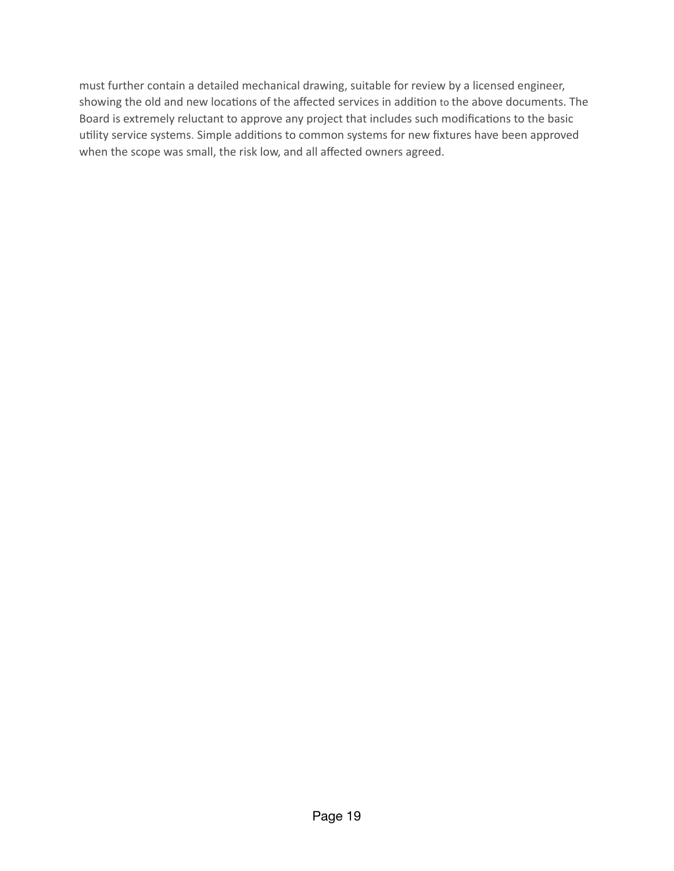must further contain a detailed mechanical drawing, suitable for review by a licensed engineer, showing the old and new locations of the affected services in addition to the above documents. The Board is extremely reluctant to approve any project that includes such modifications to the basic utility service systems. Simple additions to common systems for new fixtures have been approved when the scope was small, the risk low, and all affected owners agreed.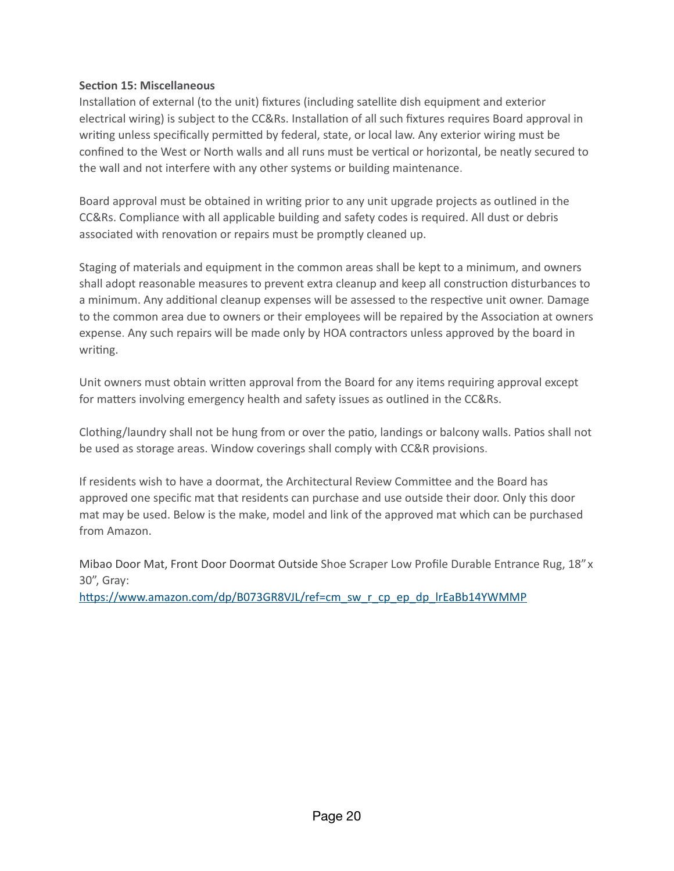## **Section 15: Miscellaneous**

Installation of external (to the unit) fixtures (including satellite dish equipment and exterior electrical wiring) is subject to the CC&Rs. Installation of all such fixtures requires Board approval in writing unless specifically permitted by federal, state, or local law. Any exterior wiring must be confined to the West or North walls and all runs must be vertical or horizontal, be neatly secured to the wall and not interfere with any other systems or building maintenance.

Board approval must be obtained in writing prior to any unit upgrade projects as outlined in the CC&Rs. Compliance with all applicable building and safety codes is required. All dust or debris associated with renovation or repairs must be promptly cleaned up.

Staging of materials and equipment in the common areas shall be kept to a minimum, and owners shall adopt reasonable measures to prevent extra cleanup and keep all construction disturbances to a minimum. Any additional cleanup expenses will be assessed to the respective unit owner. Damage to the common area due to owners or their employees will be repaired by the Association at owners expense. Any such repairs will be made only by HOA contractors unless approved by the board in writing.

Unit owners must obtain written approval from the Board for any items requiring approval except for matters involving emergency health and safety issues as outlined in the CC&Rs.

Clothing/laundry shall not be hung from or over the patio, landings or balcony walls. Patios shall not be used as storage areas. Window coverings shall comply with CC&R provisions.

If residents wish to have a doormat, the Architectural Review Commikee and the Board has approved one specific mat that residents can purchase and use outside their door. Only this door mat may be used. Below is the make, model and link of the approved mat which can be purchased from Amazon.

Mibao Door Mat, Front Door Doormat Outside Shoe Scraper Low Profile Durable Entrance Rug, 18"x 30", Gray:

https://www.amazon.com/dp/B073GR8VJL/ref=cm\_sw\_r\_cp\_ep\_dp\_lrEaBb14YWMMP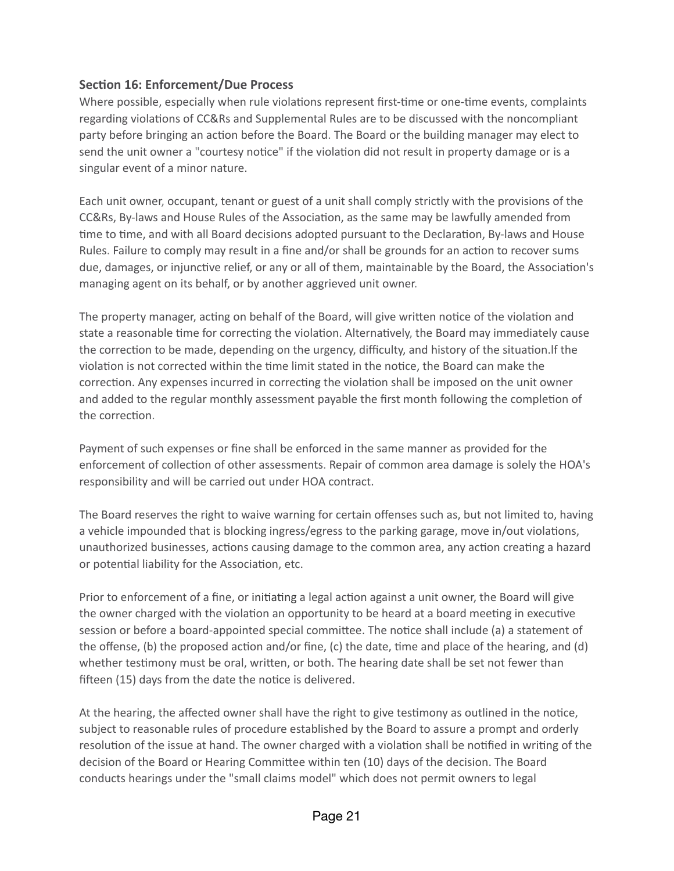## **Section 16: Enforcement/Due Process**

Where possible, especially when rule violations represent first-time or one-time events, complaints regarding violations of CC&Rs and Supplemental Rules are to be discussed with the noncompliant party before bringing an action before the Board. The Board or the building manager may elect to send the unit owner a "courtesy notice" if the violation did not result in property damage or is a singular event of a minor nature.

Each unit owner, occupant, tenant or guest of a unit shall comply strictly with the provisions of the CC&Rs, By-laws and House Rules of the Association, as the same may be lawfully amended from time to time, and with all Board decisions adopted pursuant to the Declaration, By-laws and House Rules. Failure to comply may result in a fine and/or shall be grounds for an action to recover sums due, damages, or injunctive relief, or any or all of them, maintainable by the Board, the Association's managing agent on its behalf, or by another aggrieved unit owner.

The property manager, acting on behalf of the Board, will give written notice of the violation and state a reasonable time for correcting the violation. Alternatively, the Board may immediately cause the correction to be made, depending on the urgency, difficulty, and history of the situation. If the violation is not corrected within the time limit stated in the notice, the Board can make the correction. Any expenses incurred in correcting the violation shall be imposed on the unit owner and added to the regular monthly assessment payable the first month following the completion of the correction.

Payment of such expenses or fine shall be enforced in the same manner as provided for the enforcement of collection of other assessments. Repair of common area damage is solely the HOA's responsibility and will be carried out under HOA contract.

The Board reserves the right to waive warning for certain offenses such as, but not limited to, having a vehicle impounded that is blocking ingress/egress to the parking garage, move in/out violations, unauthorized businesses, actions causing damage to the common area, any action creating a hazard or potential liability for the Association, etc.

Prior to enforcement of a fine, or initiating a legal action against a unit owner, the Board will give the owner charged with the violation an opportunity to be heard at a board meeting in executive session or before a board-appointed special committee. The notice shall include (a) a statement of the offense, (b) the proposed action and/or fine, (c) the date, time and place of the hearing, and (d) whether testimony must be oral, written, or both. The hearing date shall be set not fewer than fifteen (15) days from the date the notice is delivered.

At the hearing, the affected owner shall have the right to give testimony as outlined in the notice, subject to reasonable rules of procedure established by the Board to assure a prompt and orderly resolution of the issue at hand. The owner charged with a violation shall be notified in writing of the decision of the Board or Hearing Commikee within ten (10) days of the decision. The Board conducts hearings under the "small claims model" which does not permit owners to legal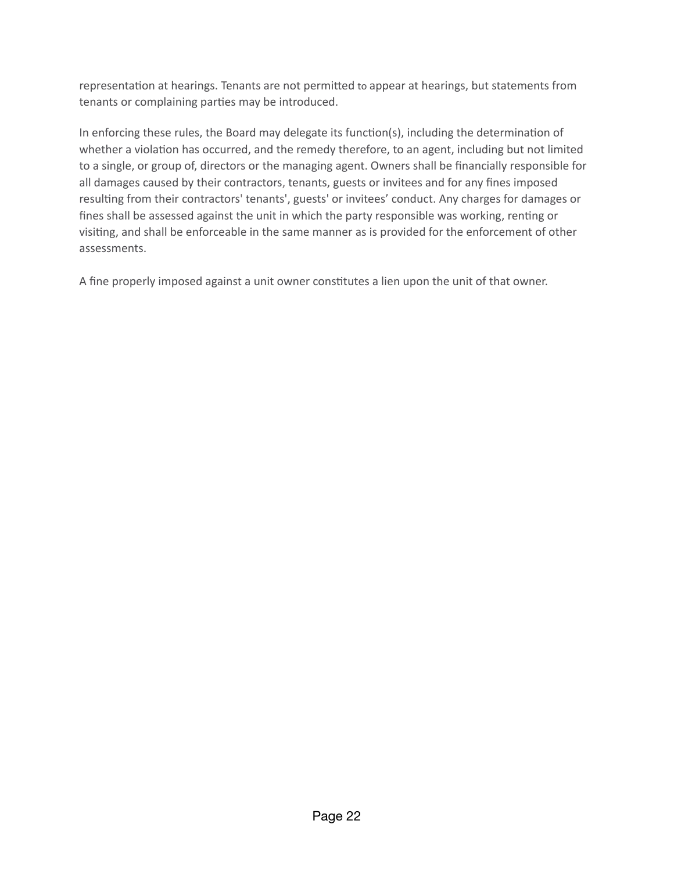representation at hearings. Tenants are not permitted to appear at hearings, but statements from tenants or complaining parties may be introduced.

In enforcing these rules, the Board may delegate its function(s), including the determination of whether a violation has occurred, and the remedy therefore, to an agent, including but not limited to a single, or group of, directors or the managing agent. Owners shall be financially responsible for all damages caused by their contractors, tenants, guests or invitees and for any fines imposed resulting from their contractors' tenants', guests' or invitees' conduct. Any charges for damages or fines shall be assessed against the unit in which the party responsible was working, renting or visiting, and shall be enforceable in the same manner as is provided for the enforcement of other assessments.

A fine properly imposed against a unit owner constitutes a lien upon the unit of that owner.